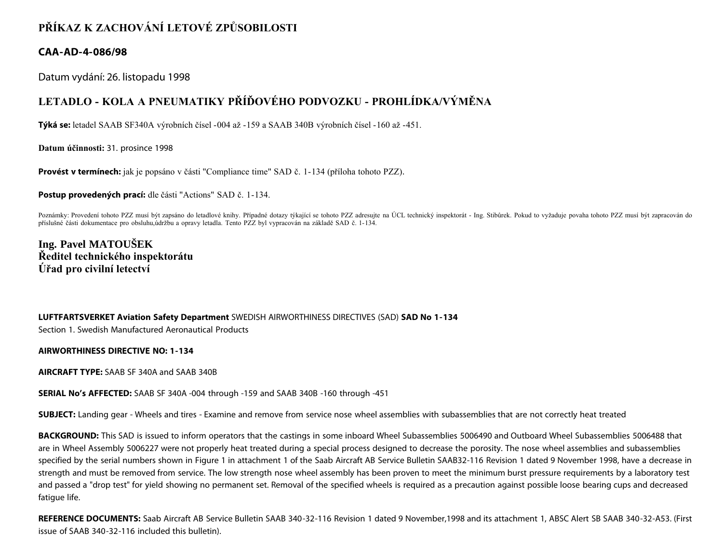## **PŘÍKAZ K ZACHOVÁNÍ LETOVÉ ZPŮSOBILOSTI**

## **CAA-AD-4-086/98**

Datum vydání: 26. listopadu 1998

## **LETADLO - KOLA A PNEUMATIKY PŘÍĎOVÉHO PODVOZKU - PROHLÍDKA/VÝMĚNA**

**Týká se:** letadel SAAB SF340A výrobních čísel -004 až -159 a SAAB 340B výrobních čísel -160 až -451.

**Datum účinnosti:** 31. prosince 1998

**Provést v termínech:** jak je popsáno v části "Compliance time" SAD č. 1-134 (příloha tohoto PZZ).

**Postup provedených prací:** dle části "Actions" SAD č. 1-134.

Poznámky: Provedení tohoto PZZ musí být zapsáno do letadlové knihy. Případné dotazy týkající se tohoto PZZ adresujte na ÚCL technický inspektorát - Ing. Stibůrek. Pokud to vyžaduje povaha tohoto PZZ musí být zapracován do příslušné části dokumentace pro obsluhu,údržbu a opravy letadla. Tento PZZ byl vypracován na základě SAD č. 1-134.

**Ing. Pavel MATOUŠEK Ředitel technického inspektorátu Úřad pro civilní letectví**

## **LUFTFARTSVERKET Aviation Safety Department** SWEDISH AIRWORTHINESS DIRECTIVES (SAD) **SAD No 1-134** Section 1. Swedish Manufactured Aeronautical Products

**AIRWORTHINESS DIRECTIVE NO: 1-134**

**AIRCRAFT TYPE:** SAAB SF 340A and SAAB 340B

**SERIAL No's AFFECTED:** SAAB SF 340A -004 through -159 and SAAB 340B -160 through -451

**SUBJECT:** Landing gear - Wheels and tires - Examine and remove from service nose wheel assemblies with subassemblies that are not correctly heat treated

**BACKGROUND:** This SAD is issued to inform operators that the castings in some inboard Wheel Subassemblies 5006490 and Outboard Wheel Subassemblies 5006488 that are in Wheel Assembly 5006227 were not properly heat treated during a special process designed to decrease the porosity. The nose wheel assemblies and subassemblies specified by the serial numbers shown in Figure 1 in attachment 1 of the Saab Aircraft AB Service Bulletin SAAB32-116 Revision 1 dated 9 November 1998, have a decrease in strength and must be removed from service. The low strength nose wheel assembly has been proven to meet the minimum burst pressure requirements by a laboratory test and passed a "drop test" for yield showing no permanent set. Removal of the specified wheels is required as a precaution against possible loose bearing cups and decreased fatigue life.

**REFERENCE DOCUMENTS:** Saab Aircraft AB Service Bulletin SAAB 340-32-116 Revision 1 dated 9 November,1998 and its attachment 1, ABSC Alert SB SAAB 340-32-A53. (First issue of SAAB 340-32-116 included this bulletin).